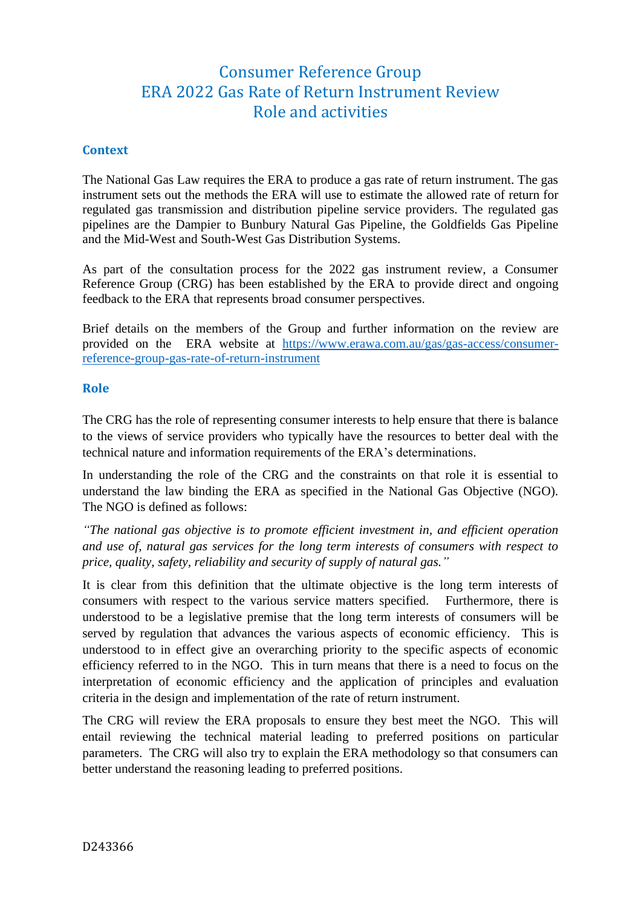# Consumer Reference Group ERA 2022 Gas Rate of Return Instrument Review Role and activities

## **Context**

The National Gas Law requires the ERA to produce a gas rate of return instrument. The gas instrument sets out the methods the ERA will use to estimate the allowed rate of return for regulated gas transmission and distribution pipeline service providers. The regulated gas pipelines are the Dampier to Bunbury Natural Gas Pipeline, the Goldfields Gas Pipeline and the Mid-West and South-West Gas Distribution Systems.

As part of the consultation process for the 2022 gas instrument review, a Consumer Reference Group (CRG) has been established by the ERA to provide direct and ongoing feedback to the ERA that represents broad consumer perspectives.

Brief details on the members of the Group and further information on the review are provided on the ERA website at [https://www.erawa.com.au/gas/gas-access/consumer](https://www.erawa.com.au/gas/gas-access/consumer-reference-group-gas-rate-of-return-instrument)[reference-group-gas-rate-of-return-instrument](https://www.erawa.com.au/gas/gas-access/consumer-reference-group-gas-rate-of-return-instrument)

#### **Role**

The CRG has the role of representing consumer interests to help ensure that there is balance to the views of service providers who typically have the resources to better deal with the technical nature and information requirements of the ERA's determinations.

In understanding the role of the CRG and the constraints on that role it is essential to understand the law binding the ERA as specified in the National Gas Objective (NGO). The NGO is defined as follows:

*"The national gas objective is to promote efficient investment in, and efficient operation and use of, natural gas services for the long term interests of consumers with respect to price, quality, safety, reliability and security of supply of natural gas."*

It is clear from this definition that the ultimate objective is the long term interests of consumers with respect to the various service matters specified. Furthermore, there is understood to be a legislative premise that the long term interests of consumers will be served by regulation that advances the various aspects of economic efficiency. This is understood to in effect give an overarching priority to the specific aspects of economic efficiency referred to in the NGO. This in turn means that there is a need to focus on the interpretation of economic efficiency and the application of principles and evaluation criteria in the design and implementation of the rate of return instrument.

The CRG will review the ERA proposals to ensure they best meet the NGO. This will entail reviewing the technical material leading to preferred positions on particular parameters. The CRG will also try to explain the ERA methodology so that consumers can better understand the reasoning leading to preferred positions.